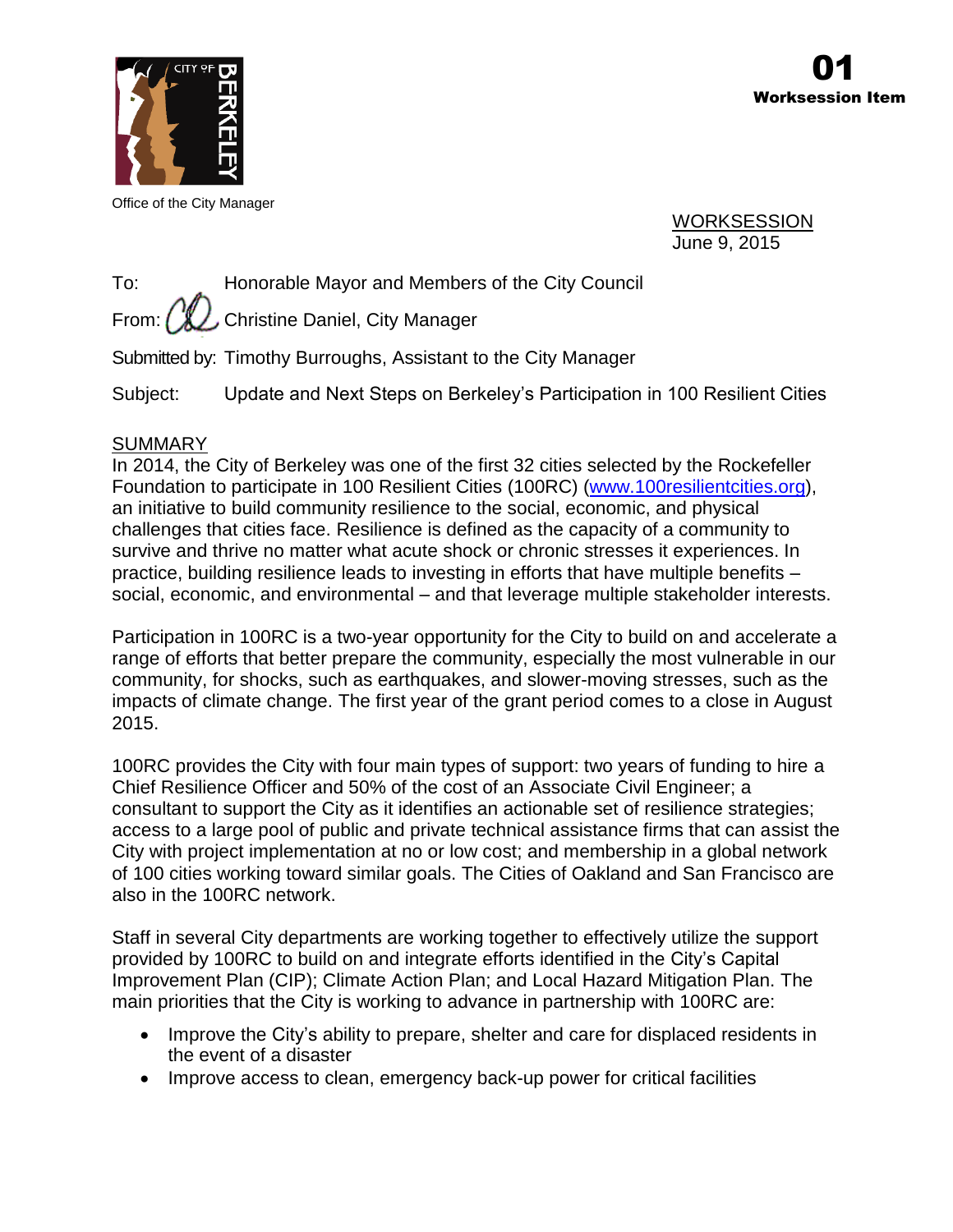

Office of the City Manager

WORKSESSION June 9, 2015

To: Honorable Mayor and Members of the City Council From:  $\left(\mathcal{H}\right)$  Christine Daniel, City Manager

Submitted by: Timothy Burroughs, Assistant to the City Manager

Subject: Update and Next Steps on Berkeley's Participation in 100 Resilient Cities

# **SUMMARY**

In 2014, the City of Berkeley was one of the first 32 cities selected by the Rockefeller Foundation to participate in 100 Resilient Cities (100RC) [\(www.100resilientcities.org\)](http://www.100resilientcities.org/), an initiative to build community resilience to the social, economic, and physical challenges that cities face. Resilience is defined as the capacity of a community to survive and thrive no matter what acute shock or chronic stresses it experiences. In practice, building resilience leads to investing in efforts that have multiple benefits – social, economic, and environmental – and that leverage multiple stakeholder interests.

Participation in 100RC is a two-year opportunity for the City to build on and accelerate a range of efforts that better prepare the community, especially the most vulnerable in our community, for shocks, such as earthquakes, and slower-moving stresses, such as the impacts of climate change. The first year of the grant period comes to a close in August 2015.

100RC provides the City with four main types of support: two years of funding to hire a Chief Resilience Officer and 50% of the cost of an Associate Civil Engineer; a consultant to support the City as it identifies an actionable set of resilience strategies; access to a large pool of public and private technical assistance firms that can assist the City with project implementation at no or low cost; and membership in a global network of 100 cities working toward similar goals. The Cities of Oakland and San Francisco are also in the 100RC network.

Staff in several City departments are working together to effectively utilize the support provided by 100RC to build on and integrate efforts identified in the City's Capital Improvement Plan (CIP); Climate Action Plan; and Local Hazard Mitigation Plan. The main priorities that the City is working to advance in partnership with 100RC are:

- Improve the City's ability to prepare, shelter and care for displaced residents in the event of a disaster
- Improve access to clean, emergency back-up power for critical facilities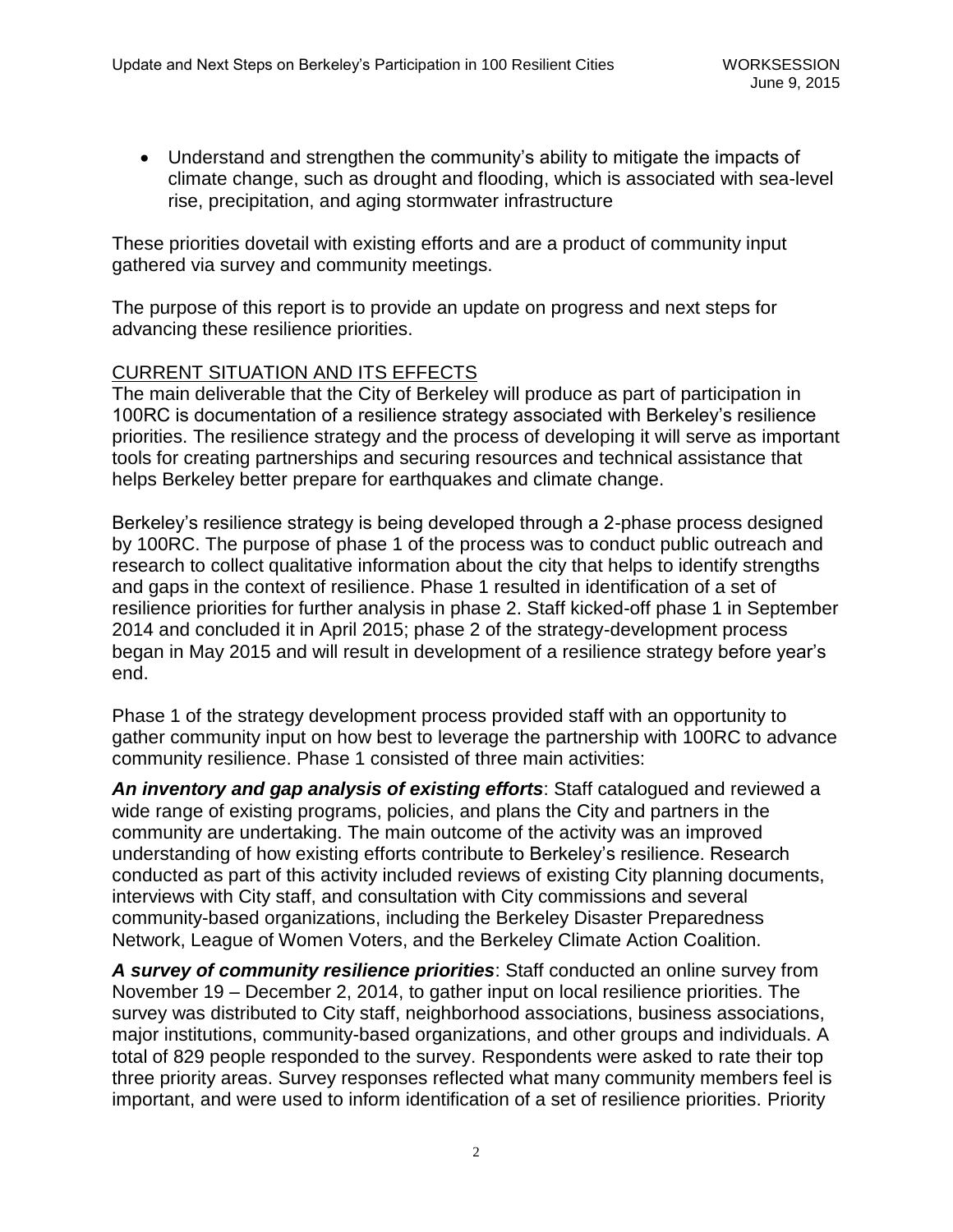Understand and strengthen the community's ability to mitigate the impacts of climate change, such as drought and flooding, which is associated with sea-level rise, precipitation, and aging stormwater infrastructure

These priorities dovetail with existing efforts and are a product of community input gathered via survey and community meetings.

The purpose of this report is to provide an update on progress and next steps for advancing these resilience priorities.

### CURRENT SITUATION AND ITS EFFECTS

The main deliverable that the City of Berkeley will produce as part of participation in 100RC is documentation of a resilience strategy associated with Berkeley's resilience priorities. The resilience strategy and the process of developing it will serve as important tools for creating partnerships and securing resources and technical assistance that helps Berkeley better prepare for earthquakes and climate change.

Berkeley's resilience strategy is being developed through a 2-phase process designed by 100RC. The purpose of phase 1 of the process was to conduct public outreach and research to collect qualitative information about the city that helps to identify strengths and gaps in the context of resilience. Phase 1 resulted in identification of a set of resilience priorities for further analysis in phase 2. Staff kicked-off phase 1 in September 2014 and concluded it in April 2015; phase 2 of the strategy-development process began in May 2015 and will result in development of a resilience strategy before year's end.

Phase 1 of the strategy development process provided staff with an opportunity to gather community input on how best to leverage the partnership with 100RC to advance community resilience. Phase 1 consisted of three main activities:

*An inventory and gap analysis of existing efforts*: Staff catalogued and reviewed a wide range of existing programs, policies, and plans the City and partners in the community are undertaking. The main outcome of the activity was an improved understanding of how existing efforts contribute to Berkeley's resilience. Research conducted as part of this activity included reviews of existing City planning documents, interviews with City staff, and consultation with City commissions and several community-based organizations, including the Berkeley Disaster Preparedness Network, League of Women Voters, and the Berkeley Climate Action Coalition.

*A survey of community resilience priorities*: Staff conducted an online survey from November 19 – December 2, 2014, to gather input on local resilience priorities. The survey was distributed to City staff, neighborhood associations, business associations, major institutions, community-based organizations, and other groups and individuals. A total of 829 people responded to the survey. Respondents were asked to rate their top three priority areas. Survey responses reflected what many community members feel is important, and were used to inform identification of a set of resilience priorities. Priority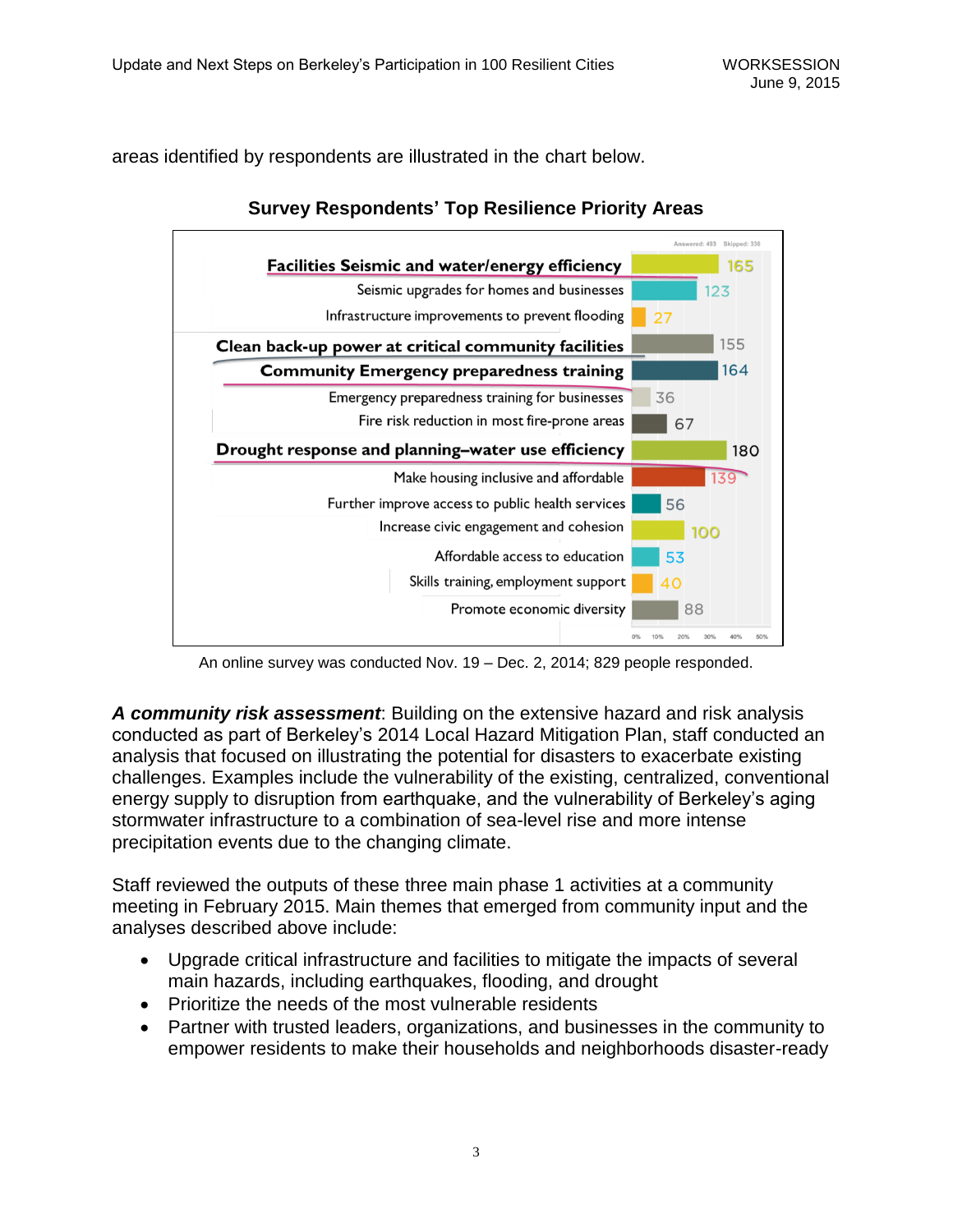areas identified by respondents are illustrated in the chart below.



# **Survey Respondents' Top Resilience Priority Areas**

An online survey was conducted Nov. 19 – Dec. 2, 2014; 829 people responded.

*A community risk assessment*: Building on the extensive hazard and risk analysis conducted as part of Berkeley's 2014 Local Hazard Mitigation Plan, staff conducted an analysis that focused on illustrating the potential for disasters to exacerbate existing challenges. Examples include the vulnerability of the existing, centralized, conventional energy supply to disruption from earthquake, and the vulnerability of Berkeley's aging stormwater infrastructure to a combination of sea-level rise and more intense precipitation events due to the changing climate.

Staff reviewed the outputs of these three main phase 1 activities at a community meeting in February 2015. Main themes that emerged from community input and the analyses described above include:

- Upgrade critical infrastructure and facilities to mitigate the impacts of several main hazards, including earthquakes, flooding, and drought
- Prioritize the needs of the most vulnerable residents
- Partner with trusted leaders, organizations, and businesses in the community to empower residents to make their households and neighborhoods disaster-ready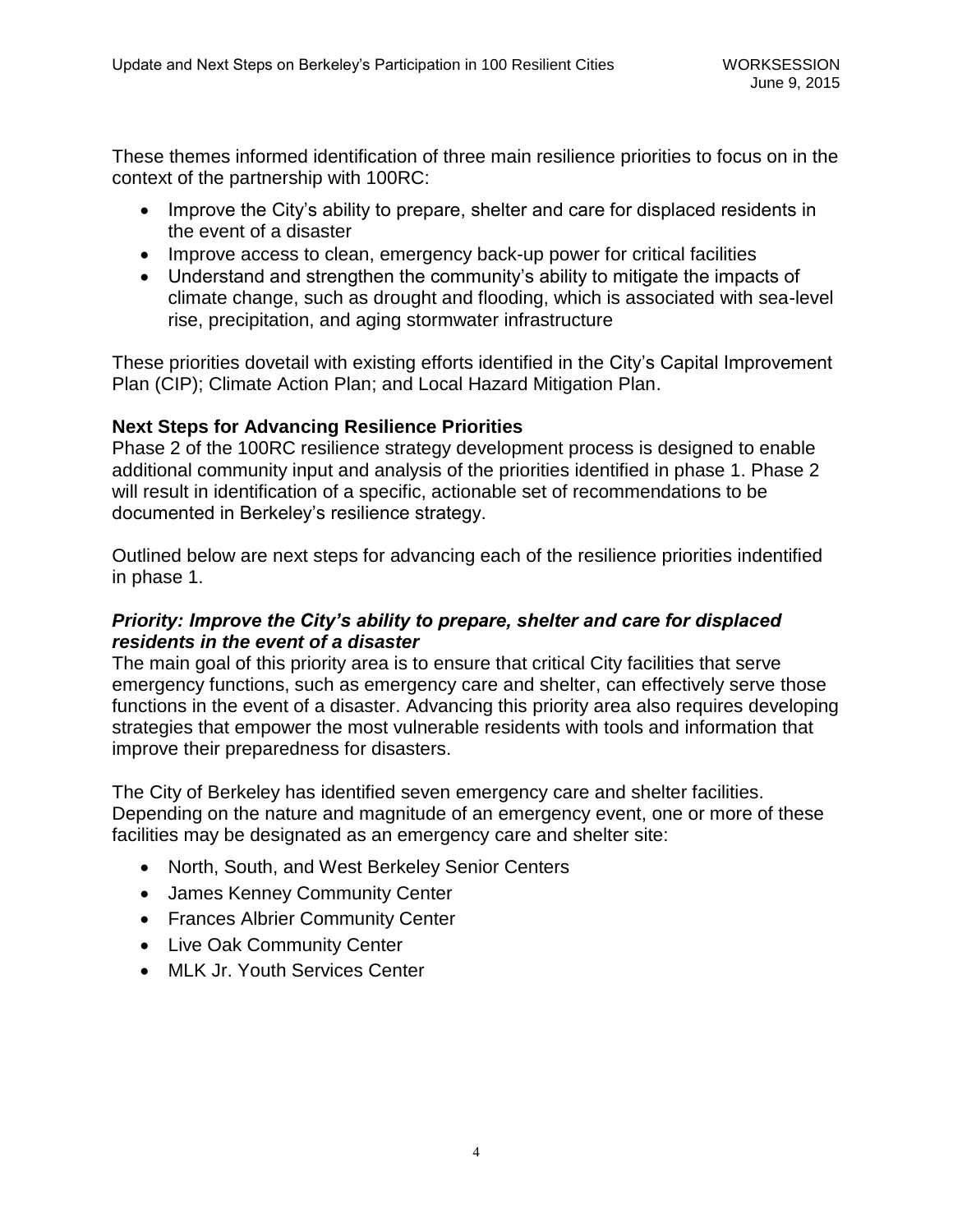These themes informed identification of three main resilience priorities to focus on in the context of the partnership with 100RC:

- Improve the City's ability to prepare, shelter and care for displaced residents in the event of a disaster
- Improve access to clean, emergency back-up power for critical facilities
- Understand and strengthen the community's ability to mitigate the impacts of climate change, such as drought and flooding, which is associated with sea-level rise, precipitation, and aging stormwater infrastructure

These priorities dovetail with existing efforts identified in the City's Capital Improvement Plan (CIP); Climate Action Plan; and Local Hazard Mitigation Plan.

## **Next Steps for Advancing Resilience Priorities**

Phase 2 of the 100RC resilience strategy development process is designed to enable additional community input and analysis of the priorities identified in phase 1. Phase 2 will result in identification of a specific, actionable set of recommendations to be documented in Berkeley's resilience strategy.

Outlined below are next steps for advancing each of the resilience priorities indentified in phase 1.

## *Priority: Improve the City's ability to prepare, shelter and care for displaced residents in the event of a disaster*

The main goal of this priority area is to ensure that critical City facilities that serve emergency functions, such as emergency care and shelter, can effectively serve those functions in the event of a disaster. Advancing this priority area also requires developing strategies that empower the most vulnerable residents with tools and information that improve their preparedness for disasters.

The City of Berkeley has identified seven emergency care and shelter facilities. Depending on the nature and magnitude of an emergency event, one or more of these facilities may be designated as an emergency care and shelter site:

- North, South, and West Berkeley Senior Centers
- James Kenney Community Center
- Frances Albrier Community Center
- Live Oak Community Center
- MLK Jr. Youth Services Center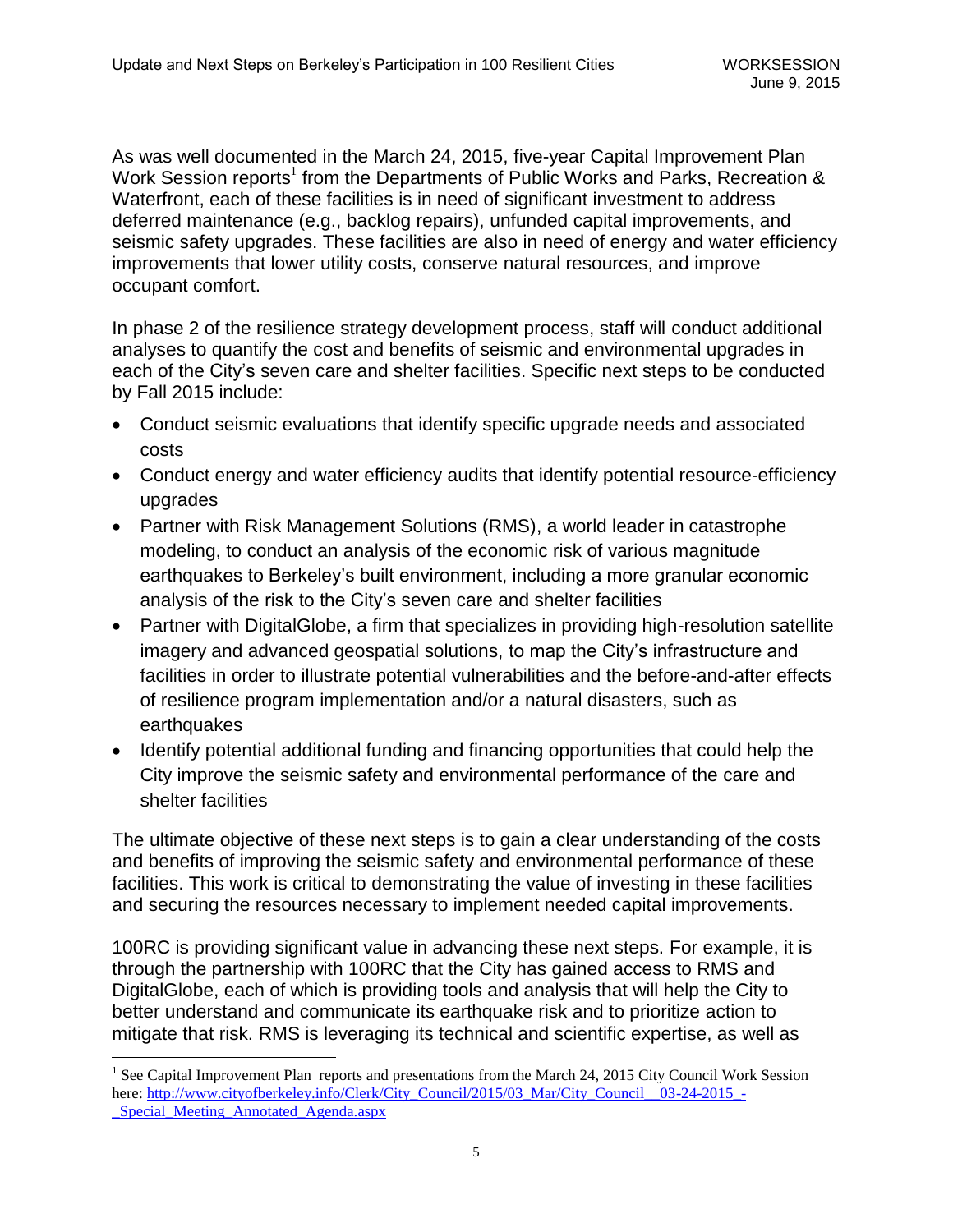As was well documented in the March 24, 2015, five-year Capital Improvement Plan Work Session reports<sup>1</sup> from the Departments of Public Works and Parks, Recreation & Waterfront, each of these facilities is in need of significant investment to address deferred maintenance (e.g., backlog repairs), unfunded capital improvements, and seismic safety upgrades. These facilities are also in need of energy and water efficiency improvements that lower utility costs, conserve natural resources, and improve occupant comfort.

In phase 2 of the resilience strategy development process, staff will conduct additional analyses to quantify the cost and benefits of seismic and environmental upgrades in each of the City's seven care and shelter facilities. Specific next steps to be conducted by Fall 2015 include:

- Conduct seismic evaluations that identify specific upgrade needs and associated costs
- Conduct energy and water efficiency audits that identify potential resource-efficiency upgrades
- Partner with Risk Management Solutions (RMS), a world leader in catastrophe modeling, to conduct an analysis of the economic risk of various magnitude earthquakes to Berkeley's built environment, including a more granular economic analysis of the risk to the City's seven care and shelter facilities
- Partner with DigitalGlobe, a firm that specializes in providing high-resolution satellite imagery and advanced geospatial solutions, to map the City's infrastructure and facilities in order to illustrate potential vulnerabilities and the before-and-after effects of resilience program implementation and/or a natural disasters, such as earthquakes
- Identify potential additional funding and financing opportunities that could help the City improve the seismic safety and environmental performance of the care and shelter facilities

The ultimate objective of these next steps is to gain a clear understanding of the costs and benefits of improving the seismic safety and environmental performance of these facilities. This work is critical to demonstrating the value of investing in these facilities and securing the resources necessary to implement needed capital improvements.

100RC is providing significant value in advancing these next steps. For example, it is through the partnership with 100RC that the City has gained access to RMS and DigitalGlobe, each of which is providing tools and analysis that will help the City to better understand and communicate its earthquake risk and to prioritize action to mitigate that risk. RMS is leveraging its technical and scientific expertise, as well as

 $\overline{a}$ 

<sup>&</sup>lt;sup>1</sup> See Capital Improvement Plan reports and presentations from the March 24, 2015 City Council Work Session here: [http://www.cityofberkeley.info/Clerk/City\\_Council/2015/03\\_Mar/City\\_Council\\_\\_03-24-2015\\_-](http://www.cityofberkeley.info/Clerk/City_Council/2015/03_Mar/City_Council__03-24-2015_-_Special_Meeting_Annotated_Agenda.aspx) [\\_Special\\_Meeting\\_Annotated\\_Agenda.aspx](http://www.cityofberkeley.info/Clerk/City_Council/2015/03_Mar/City_Council__03-24-2015_-_Special_Meeting_Annotated_Agenda.aspx)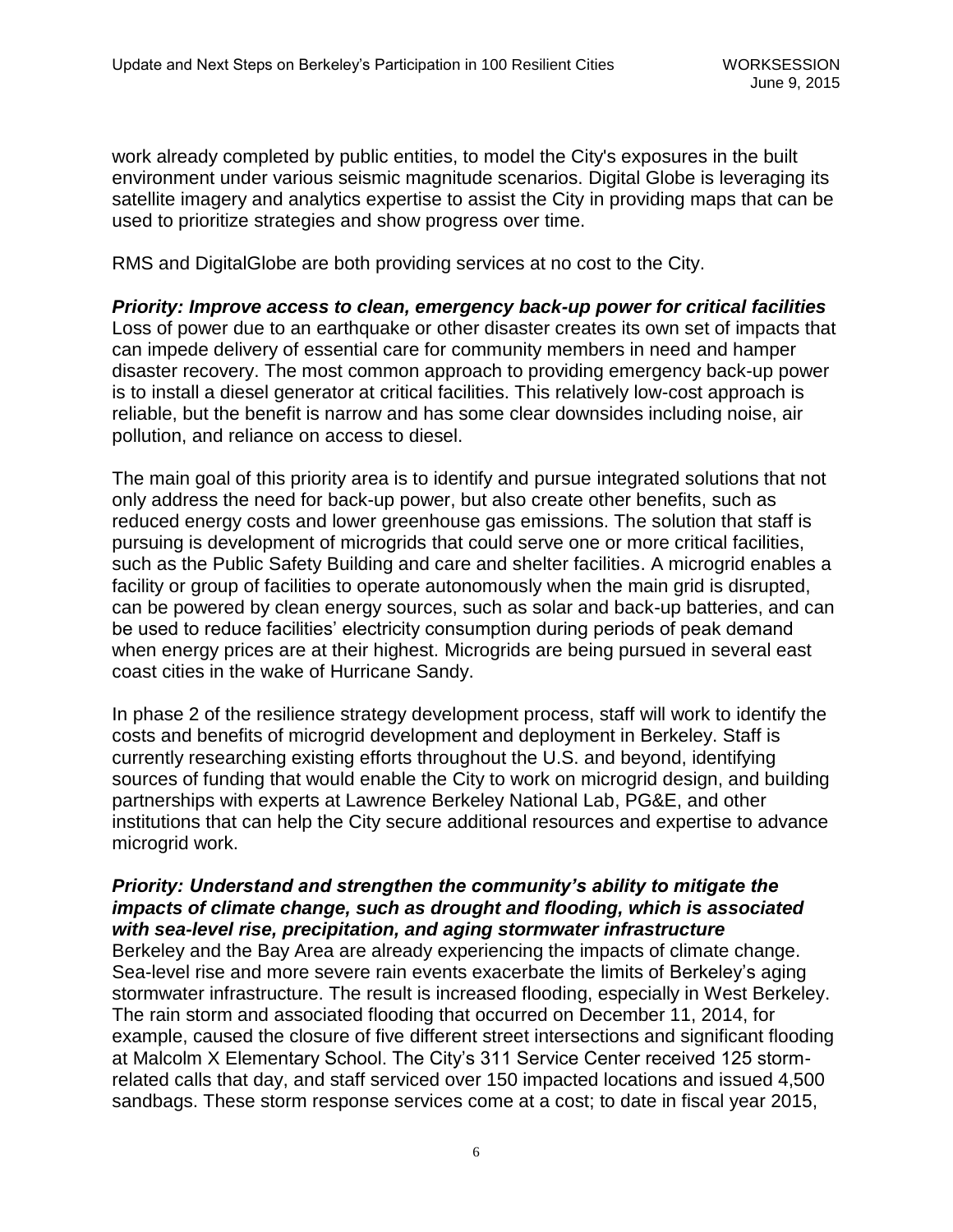work already completed by public entities, to model the City's exposures in the built environment under various seismic magnitude scenarios. Digital Globe is leveraging its satellite imagery and analytics expertise to assist the City in providing maps that can be used to prioritize strategies and show progress over time.

RMS and DigitalGlobe are both providing services at no cost to the City.

*Priority: Improve access to clean, emergency back-up power for critical facilities* Loss of power due to an earthquake or other disaster creates its own set of impacts that can impede delivery of essential care for community members in need and hamper disaster recovery. The most common approach to providing emergency back-up power is to install a diesel generator at critical facilities. This relatively low-cost approach is reliable, but the benefit is narrow and has some clear downsides including noise, air pollution, and reliance on access to diesel.

The main goal of this priority area is to identify and pursue integrated solutions that not only address the need for back-up power, but also create other benefits, such as reduced energy costs and lower greenhouse gas emissions. The solution that staff is pursuing is development of microgrids that could serve one or more critical facilities, such as the Public Safety Building and care and shelter facilities. A microgrid enables a facility or group of facilities to operate autonomously when the main grid is disrupted, can be powered by clean energy sources, such as solar and back-up batteries, and can be used to reduce facilities' electricity consumption during periods of peak demand when energy prices are at their highest. Microgrids are being pursued in several east coast cities in the wake of Hurricane Sandy.

In phase 2 of the resilience strategy development process, staff will work to identify the costs and benefits of microgrid development and deployment in Berkeley. Staff is currently researching existing efforts throughout the U.S. and beyond, identifying sources of funding that would enable the City to work on microgrid design, and building partnerships with experts at Lawrence Berkeley National Lab, PG&E, and other institutions that can help the City secure additional resources and expertise to advance microgrid work.

## *Priority: Understand and strengthen the community's ability to mitigate the impacts of climate change, such as drought and flooding, which is associated with sea-level rise, precipitation, and aging stormwater infrastructure*

Berkeley and the Bay Area are already experiencing the impacts of climate change. Sea-level rise and more severe rain events exacerbate the limits of Berkeley's aging stormwater infrastructure. The result is increased flooding, especially in West Berkeley. The rain storm and associated flooding that occurred on December 11, 2014, for example, caused the closure of five different street intersections and significant flooding at Malcolm X Elementary School. The City's 311 Service Center received 125 stormrelated calls that day, and staff serviced over 150 impacted locations and issued 4,500 sandbags. These storm response services come at a cost; to date in fiscal year 2015,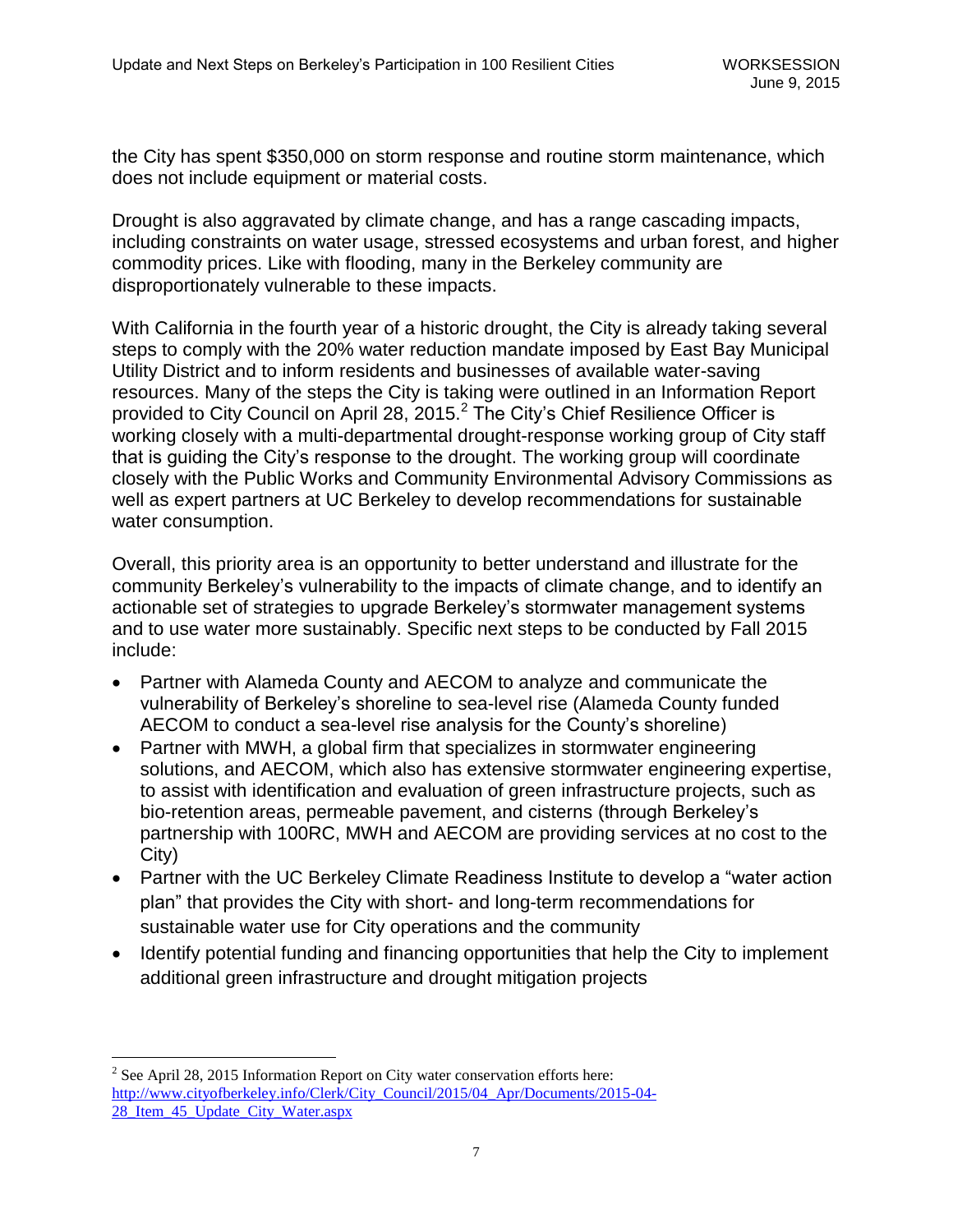the City has spent \$350,000 on storm response and routine storm maintenance, which does not include equipment or material costs.

Drought is also aggravated by climate change, and has a range cascading impacts, including constraints on water usage, stressed ecosystems and urban forest, and higher commodity prices. Like with flooding, many in the Berkeley community are disproportionately vulnerable to these impacts.

With California in the fourth year of a historic drought, the City is already taking several steps to comply with the 20% water reduction mandate imposed by East Bay Municipal Utility District and to inform residents and businesses of available water-saving resources. Many of the steps the City is taking were outlined in an Information Report provided to City Council on April 28, 2015.<sup>2</sup> The City's Chief Resilience Officer is working closely with a multi-departmental drought-response working group of City staff that is guiding the City's response to the drought. The working group will coordinate closely with the Public Works and Community Environmental Advisory Commissions as well as expert partners at UC Berkeley to develop recommendations for sustainable water consumption.

Overall, this priority area is an opportunity to better understand and illustrate for the community Berkeley's vulnerability to the impacts of climate change, and to identify an actionable set of strategies to upgrade Berkeley's stormwater management systems and to use water more sustainably. Specific next steps to be conducted by Fall 2015 include:

- Partner with Alameda County and AECOM to analyze and communicate the vulnerability of Berkeley's shoreline to sea-level rise (Alameda County funded AECOM to conduct a sea-level rise analysis for the County's shoreline)
- Partner with MWH, a global firm that specializes in stormwater engineering solutions, and AECOM, which also has extensive stormwater engineering expertise, to assist with identification and evaluation of green infrastructure projects, such as bio-retention areas, permeable pavement, and cisterns (through Berkeley's partnership with 100RC, MWH and AECOM are providing services at no cost to the City)
- Partner with the UC Berkeley Climate Readiness Institute to develop a "water action plan" that provides the City with short- and long-term recommendations for sustainable water use for City operations and the community
- Identify potential funding and financing opportunities that help the City to implement additional green infrastructure and drought mitigation projects

 $\overline{a}$ 

 $2^2$  See April 28, 2015 Information Report on City water conservation efforts here: [http://www.cityofberkeley.info/Clerk/City\\_Council/2015/04\\_Apr/Documents/2015-04-](http://www.cityofberkeley.info/Clerk/City_Council/2015/04_Apr/Documents/2015-04-28_Item_45_Update_City_Water.aspx) 28<sup>Item 45</sup> Update City Water.aspx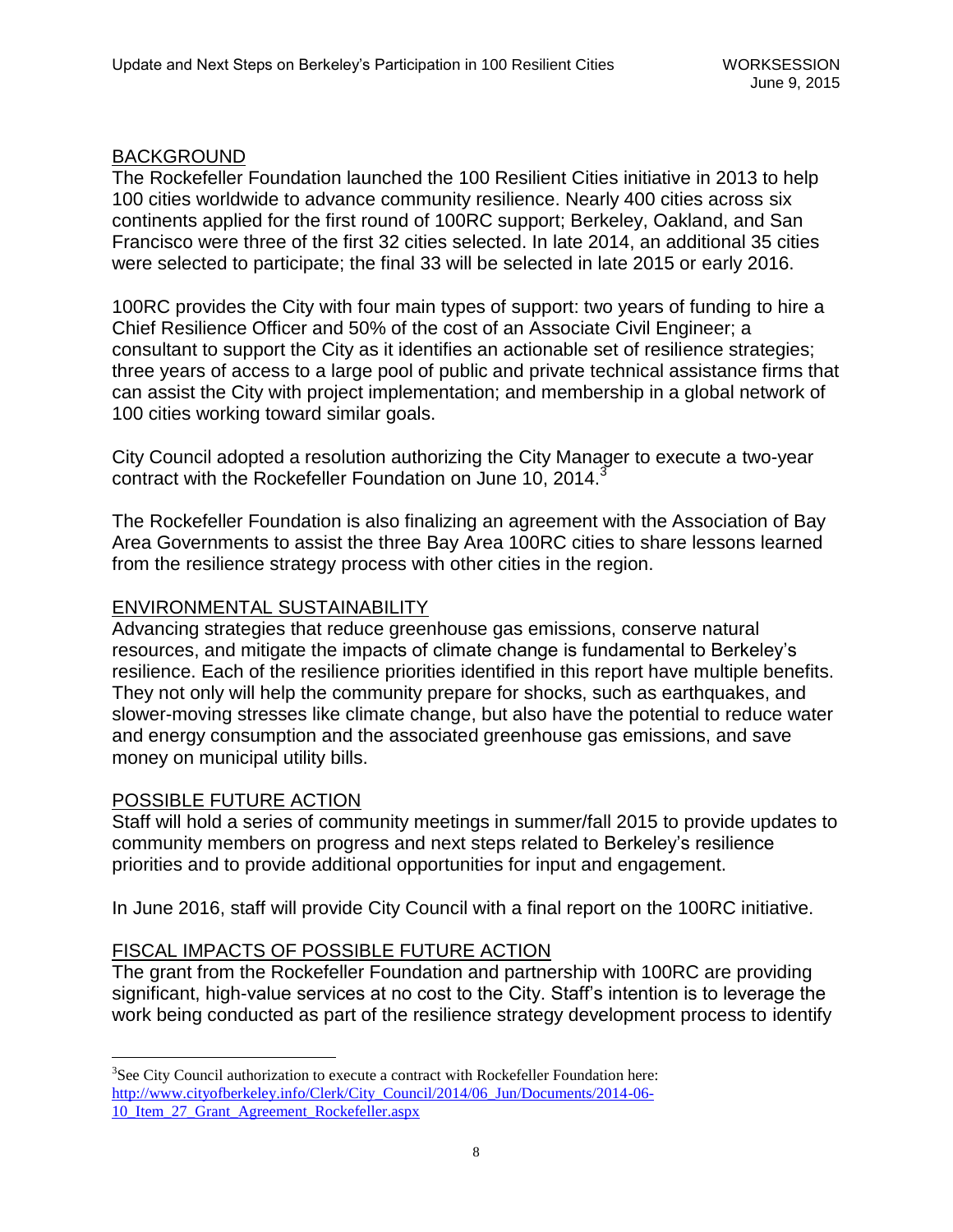### BACKGROUND

The Rockefeller Foundation launched the 100 Resilient Cities initiative in 2013 to help 100 cities worldwide to advance community resilience. Nearly 400 cities across six continents applied for the first round of 100RC support; Berkeley, Oakland, and San Francisco were three of the first 32 cities selected. In late 2014, an additional 35 cities were selected to participate; the final 33 will be selected in late 2015 or early 2016.

100RC provides the City with four main types of support: two years of funding to hire a Chief Resilience Officer and 50% of the cost of an Associate Civil Engineer; a consultant to support the City as it identifies an actionable set of resilience strategies; three years of access to a large pool of public and private technical assistance firms that can assist the City with project implementation; and membership in a global network of 100 cities working toward similar goals.

City Council adopted a resolution authorizing the City Manager to execute a two-year contract with the Rockefeller Foundation on June 10, 2014.

The Rockefeller Foundation is also finalizing an agreement with the Association of Bay Area Governments to assist the three Bay Area 100RC cities to share lessons learned from the resilience strategy process with other cities in the region.

#### ENVIRONMENTAL SUSTAINABILITY

Advancing strategies that reduce greenhouse gas emissions, conserve natural resources, and mitigate the impacts of climate change is fundamental to Berkeley's resilience. Each of the resilience priorities identified in this report have multiple benefits. They not only will help the community prepare for shocks, such as earthquakes, and slower-moving stresses like climate change, but also have the potential to reduce water and energy consumption and the associated greenhouse gas emissions, and save money on municipal utility bills.

#### POSSIBLE FUTURE ACTION

 $\overline{a}$ 

Staff will hold a series of community meetings in summer/fall 2015 to provide updates to community members on progress and next steps related to Berkeley's resilience priorities and to provide additional opportunities for input and engagement.

In June 2016, staff will provide City Council with a final report on the 100RC initiative.

## FISCAL IMPACTS OF POSSIBLE FUTURE ACTION

The grant from the Rockefeller Foundation and partnership with 100RC are providing significant, high-value services at no cost to the City. Staff's intention is to leverage the work being conducted as part of the resilience strategy development process to identify

 $3$ See City Council authorization to execute a contract with Rockefeller Foundation here: [http://www.cityofberkeley.info/Clerk/City\\_Council/2014/06\\_Jun/Documents/2014-06-](http://www.cityofberkeley.info/Clerk/City_Council/2014/06_Jun/Documents/2014-06-10_Item_27_Grant_Agreement_Rockefeller.aspx) 10 Item 27 Grant Agreement Rockefeller.aspx